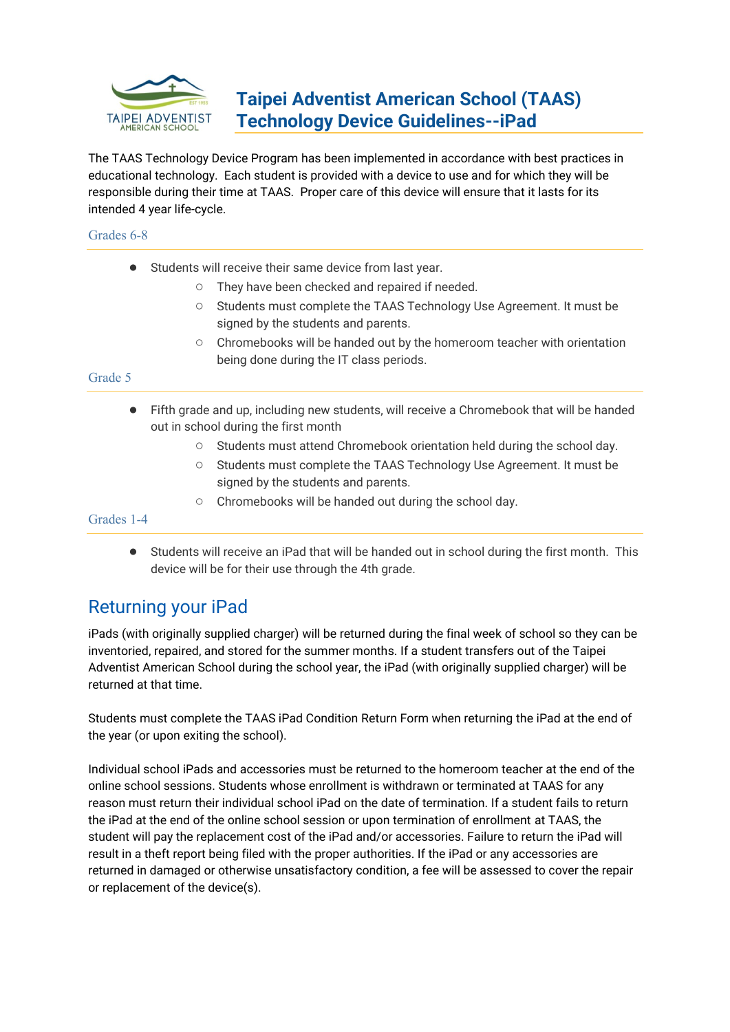

# **Taipei Adventist American School (TAAS) Technology Device Guidelines--iPad**

The TAAS Technology Device Program has been implemented in accordance with best practices in educational technology. Each student is provided with a device to use and for which they will be responsible during their time at TAAS. Proper care of this device will ensure that it lasts for its intended 4 year life-cycle.

### Grades 6-8

- Students will receive their same device from last year.
	- They have been checked and repaired if needed.
	- Students must complete the TAAS Technology Use Agreement. It must be signed by the students and parents.
	- Chromebooks will be handed out by the homeroom teacher with orientation being done during the IT class periods.

### Grade 5

- Fifth grade and up, including new students, will receive a Chromebook that will be handed out in school during the first month
	- Students must attend Chromebook orientation held during the school day.
	- Students must complete the TAAS Technology Use Agreement. It must be signed by the students and parents.
	- Chromebooks will be handed out during the school day.

Grades 1-4

● Students will receive an iPad that will be handed out in school during the first month. This device will be for their use through the 4th grade.

## Returning your iPad

iPads (with originally supplied charger) will be returned during the final week of school so they can be inventoried, repaired, and stored for the summer months. If a student transfers out of the Taipei Adventist American School during the school year, the iPad (with originally supplied charger) will be returned at that time.

Students must complete the TAAS iPad Condition Return Form when returning the iPad at the end of the year (or upon exiting the school).

Individual school iPads and accessories must be returned to the homeroom teacher at the end of the online school sessions. Students whose enrollment is withdrawn or terminated at TAAS for any reason must return their individual school iPad on the date of termination. If a student fails to return the iPad at the end of the online school session or upon termination of enrollment at TAAS, the student will pay the replacement cost of the iPad and/or accessories. Failure to return the iPad will result in a theft report being filed with the proper authorities. If the iPad or any accessories are returned in damaged or otherwise unsatisfactory condition, a fee will be assessed to cover the repair or replacement of the device(s).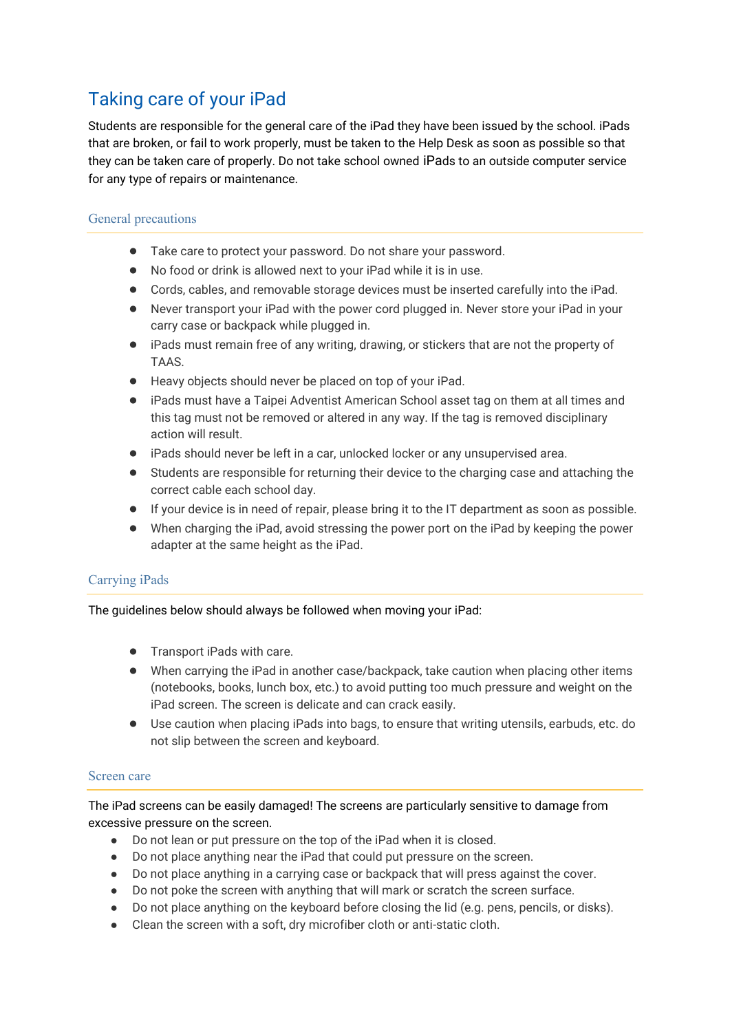# Taking care of your iPad

Students are responsible for the general care of the iPad they have been issued by the school. iPads that are broken, or fail to work properly, must be taken to the Help Desk as soon as possible so that they can be taken care of properly. Do not take school owned iPads to an outside computer service for any type of repairs or maintenance.

### General precautions

- Take care to protect your password. Do not share your password.
- No food or drink is allowed next to your iPad while it is in use.
- Cords, cables, and removable storage devices must be inserted carefully into the iPad.
- Never transport your iPad with the power cord plugged in. Never store your iPad in your carry case or backpack while plugged in.
- iPads must remain free of any writing, drawing, or stickers that are not the property of TAAS.
- Heavy objects should never be placed on top of your iPad.
- iPads must have a Taipei Adventist American School asset tag on them at all times and this tag must not be removed or altered in any way. If the tag is removed disciplinary action will result.
- iPads should never be left in a car, unlocked locker or any unsupervised area.
- Students are responsible for returning their device to the charging case and attaching the correct cable each school day.
- If your device is in need of repair, please bring it to the IT department as soon as possible.
- When charging the iPad, avoid stressing the power port on the iPad by keeping the power adapter at the same height as the iPad.

### Carrying iPads

The guidelines below should always be followed when moving your iPad:

- Transport iPads with care.
- When carrying the iPad in another case/backpack, take caution when placing other items (notebooks, books, lunch box, etc.) to avoid putting too much pressure and weight on the iPad screen. The screen is delicate and can crack easily.
- Use caution when placing iPads into bags, to ensure that writing utensils, earbuds, etc. do not slip between the screen and keyboard.

### Screen care

The iPad screens can be easily damaged! The screens are particularly sensitive to damage from excessive pressure on the screen.

- Do not lean or put pressure on the top of the iPad when it is closed.
- Do not place anything near the iPad that could put pressure on the screen.
- Do not place anything in a carrying case or backpack that will press against the cover.
- Do not poke the screen with anything that will mark or scratch the screen surface.
- Do not place anything on the keyboard before closing the lid (e.g. pens, pencils, or disks).
- Clean the screen with a soft, dry microfiber cloth or anti-static cloth.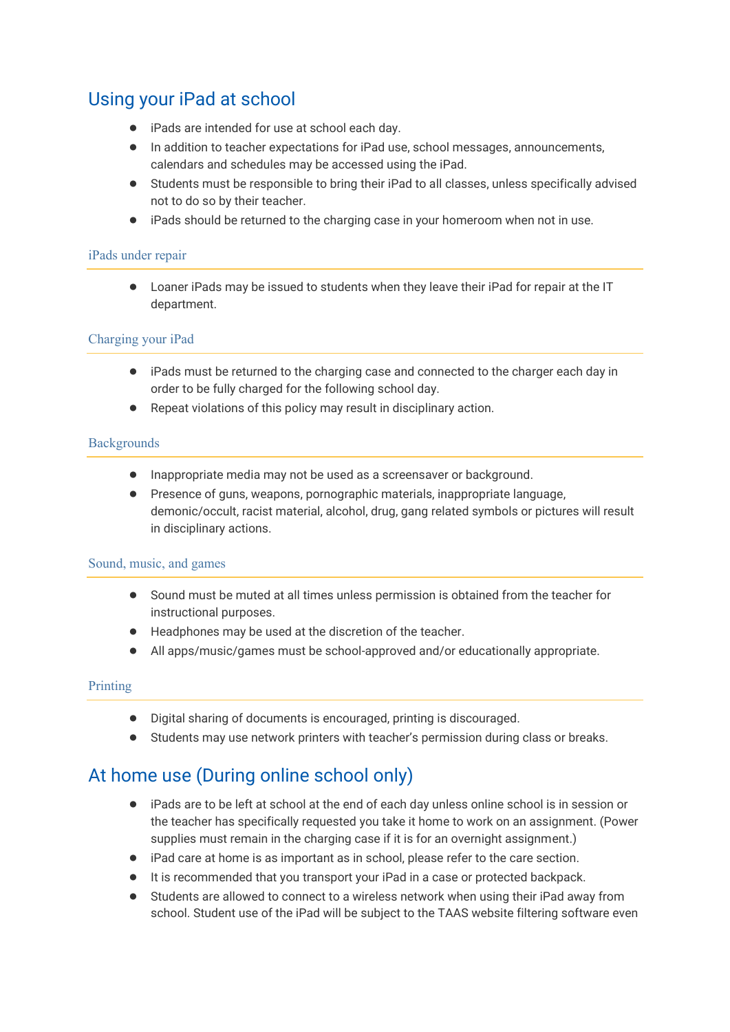# Using your iPad at school

- iPads are intended for use at school each day.
- In addition to teacher expectations for iPad use, school messages, announcements, calendars and schedules may be accessed using the iPad.
- Students must be responsible to bring their iPad to all classes, unless specifically advised not to do so by their teacher.
- iPads should be returned to the charging case in your homeroom when not in use.

#### iPads under repair

● Loaner iPads may be issued to students when they leave their iPad for repair at the IT department.

### Charging your iPad

- iPads must be returned to the charging case and connected to the charger each day in order to be fully charged for the following school day.
- Repeat violations of this policy may result in disciplinary action.

### **Backgrounds**

- Inappropriate media may not be used as a screensaver or background.
- Presence of guns, weapons, pornographic materials, inappropriate language, demonic/occult, racist material, alcohol, drug, gang related symbols or pictures will result in disciplinary actions.

#### Sound, music, and games

- Sound must be muted at all times unless permission is obtained from the teacher for instructional purposes.
- Headphones may be used at the discretion of the teacher.
- All apps/music/games must be school-approved and/or educationally appropriate.

#### Printing

- Digital sharing of documents is encouraged, printing is discouraged.
- Students may use network printers with teacher's permission during class or breaks.

# At home use (During online school only)

- iPads are to be left at school at the end of each day unless online school is in session or the teacher has specifically requested you take it home to work on an assignment. (Power supplies must remain in the charging case if it is for an overnight assignment.)
- iPad care at home is as important as in school, please refer to the care section.
- It is recommended that you transport your iPad in a case or protected backpack.
- Students are allowed to connect to a wireless network when using their iPad away from school. Student use of the iPad will be subject to the TAAS website filtering software even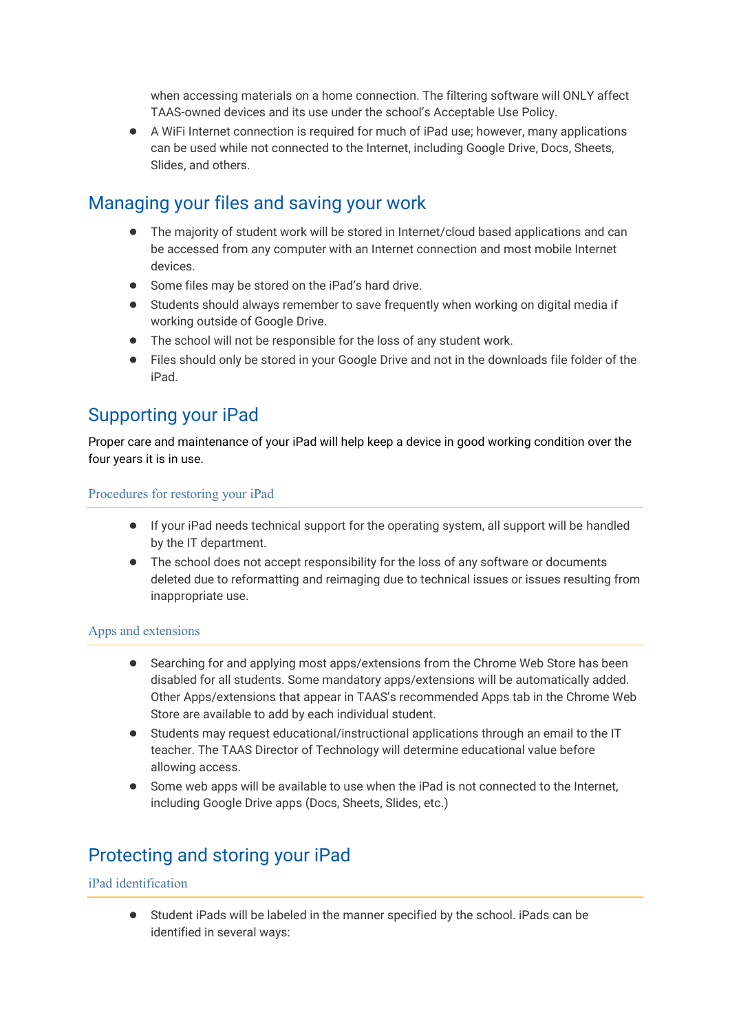when accessing materials on a home connection. The filtering software will ONLY affect TAAS-owned devices and its use under the school's Acceptable Use Policy.

● A WiFi Internet connection is required for much of iPad use; however, many applications can be used while not connected to the Internet, including Google Drive, Docs, Sheets, Slides, and others.

## Managing your files and saving your work

- The majority of student work will be stored in Internet/cloud based applications and can be accessed from any computer with an Internet connection and most mobile Internet devices.
- Some files may be stored on the iPad's hard drive.
- Students should always remember to save frequently when working on digital media if working outside of Google Drive.
- The school will not be responsible for the loss of any student work.
- Files should only be stored in your Google Drive and not in the downloads file folder of the iPad.

## Supporting your iPad

Proper care and maintenance of your iPad will help keep a device in good working condition over the four years it is in use.

### Procedures for restoring your iPad

- If your iPad needs technical support for the operating system, all support will be handled by the IT department.
- The school does not accept responsibility for the loss of any software or documents deleted due to reformatting and reimaging due to technical issues or issues resulting from inappropriate use.

### Apps and extensions

- Searching for and applying most apps/extensions from the Chrome Web Store has been disabled for all students. Some mandatory apps/extensions will be automatically added. Other Apps/extensions that appear in TAAS's recommended Apps tab in the Chrome Web Store are available to add by each individual student.
- Students may request educational/instructional applications through an email to the IT teacher. The TAAS Director of Technology will determine educational value before allowing access.
- Some web apps will be available to use when the iPad is not connected to the Internet. including Google Drive apps (Docs, Sheets, Slides, etc.)

# Protecting and storing your iPad

#### iPad identification

● Student iPads will be labeled in the manner specified by the school. iPads can be identified in several ways: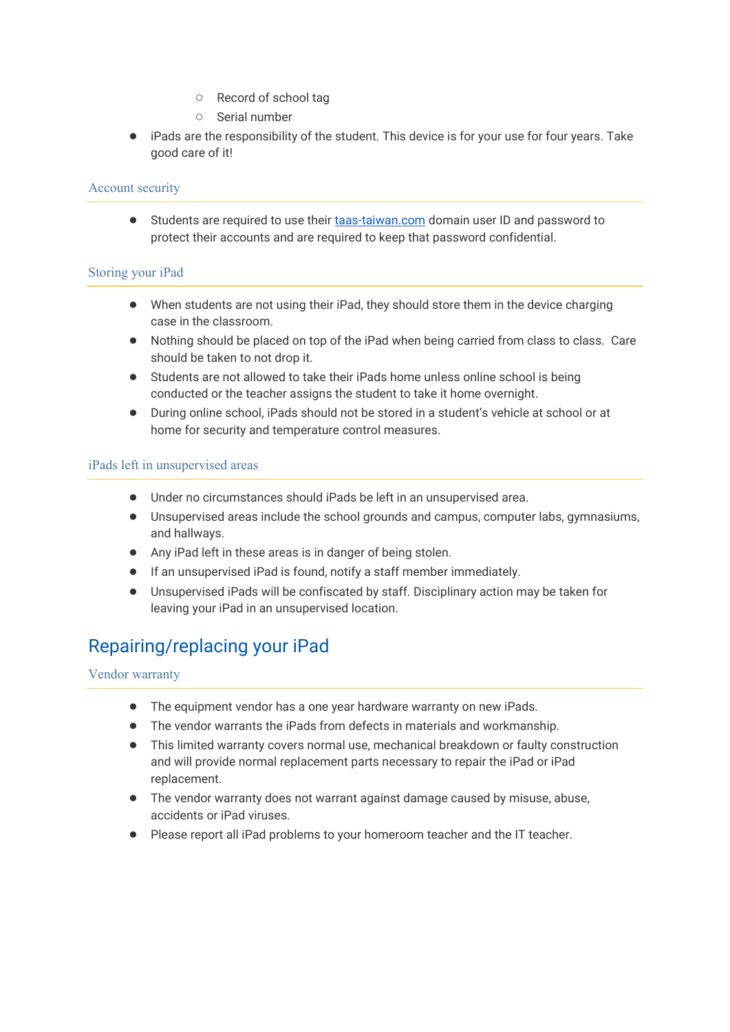- Record of school tag
- Serial number
- iPads are the responsibility of the student. This device is for your use for four years. Take good care of it!

### Account security

● Students are required to use their [taas-taiwan.com](http://taas-taiwan.com/) domain user ID and password to protect their accounts and are required to keep that password confidential.

### Storing your iPad

- When students are not using their iPad, they should store them in the device charging case in the classroom.
- Nothing should be placed on top of the iPad when being carried from class to class. Care should be taken to not drop it.
- Students are not allowed to take their iPads home unless online school is being conducted or the teacher assigns the student to take it home overnight.
- During online school, iPads should not be stored in a student's vehicle at school or at home for security and temperature control measures.

### iPads left in unsupervised areas

- Under no circumstances should iPads be left in an unsupervised area.
- Unsupervised areas include the school grounds and campus, computer labs, gymnasiums, and hallways.
- Any iPad left in these areas is in danger of being stolen.
- If an unsupervised iPad is found, notify a staff member immediately.
- Unsupervised iPads will be confiscated by staff. Disciplinary action may be taken for leaving your iPad in an unsupervised location.

# Repairing/replacing your iPad

Vendor warranty

- The equipment vendor has a one year hardware warranty on new iPads.
- The vendor warrants the iPads from defects in materials and workmanship.
- This limited warranty covers normal use, mechanical breakdown or faulty construction and will provide normal replacement parts necessary to repair the iPad or iPad replacement.
- The vendor warranty does not warrant against damage caused by misuse, abuse, accidents or iPad viruses.
- Please report all iPad problems to your homeroom teacher and the IT teacher.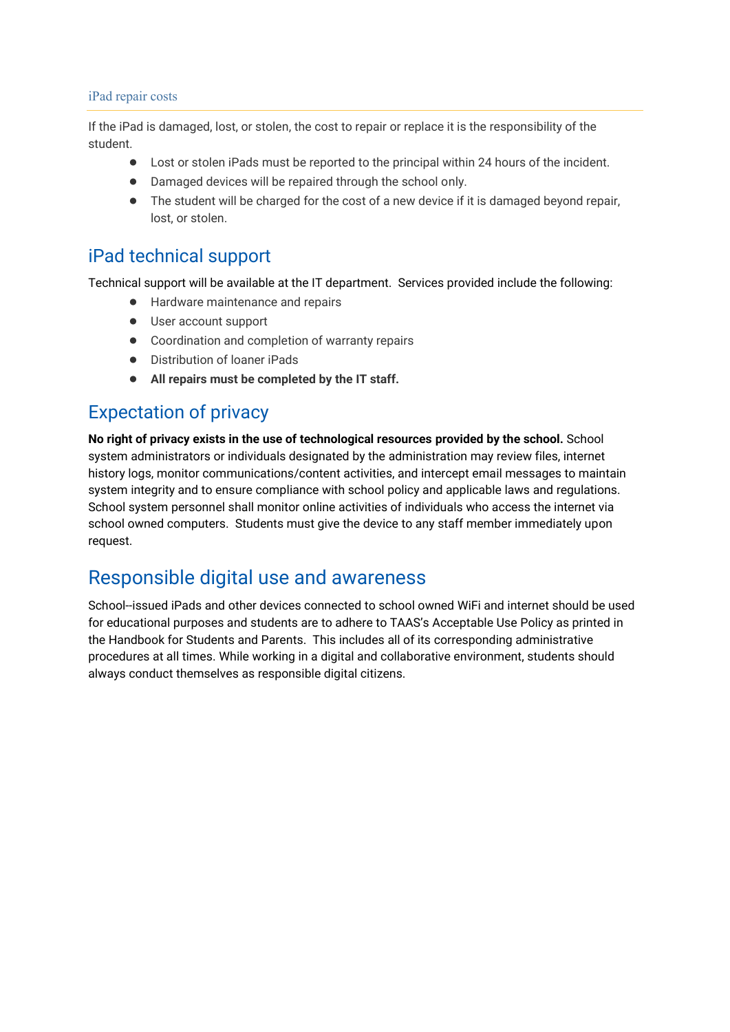#### iPad repair costs

If the iPad is damaged, lost, or stolen, the cost to repair or replace it is the responsibility of the student.

- Lost or stolen iPads must be reported to the principal within 24 hours of the incident.
- Damaged devices will be repaired through the school only.
- The student will be charged for the cost of a new device if it is damaged beyond repair, lost, or stolen.

## iPad technical support

Technical support will be available at the IT department. Services provided include the following:

- Hardware maintenance and repairs
- User account support
- Coordination and completion of warranty repairs
- Distribution of loaner iPads
- **All repairs must be completed by the IT staff.**

# Expectation of privacy

**No right of privacy exists in the use of technological resources provided by the school.** School system administrators or individuals designated by the administration may review files, internet history logs, monitor communications/content activities, and intercept email messages to maintain system integrity and to ensure compliance with school policy and applicable laws and regulations. School system personnel shall monitor online activities of individuals who access the internet via school owned computers. Students must give the device to any staff member immediately upon request.

## Responsible digital use and awareness

School--issued iPads and other devices connected to school owned WiFi and internet should be used for educational purposes and students are to adhere to TAAS's Acceptable Use Policy as printed in the Handbook for Students and Parents. This includes all of its corresponding administrative procedures at all times. While working in a digital and collaborative environment, students should always conduct themselves as responsible digital citizens.